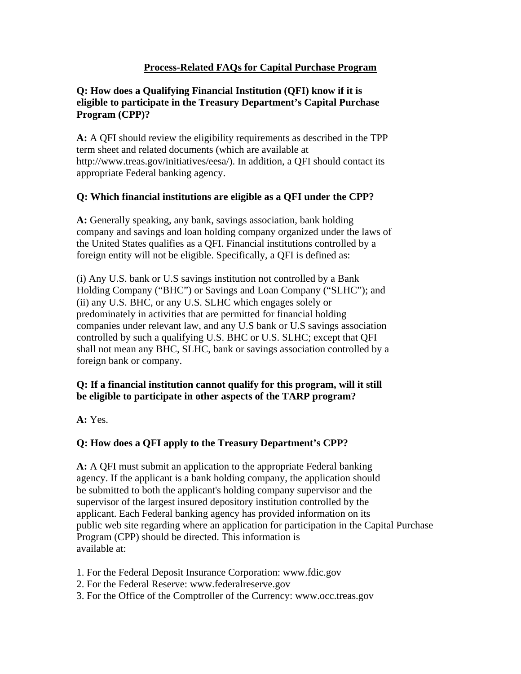#### **Q: How does a Qualifying Financial Institution (QFI) know if it is eligible to participate in the Treasury Department's Capital Purchase Program (CPP)?**

**A:** A QFI should review the eligibility requirements as described in the TPP term sheet and related documents (which are available at http://www.treas.gov/initiatives/eesa/). In addition, a QFI should contact its appropriate Federal banking agency.

### **Q: Which financial institutions are eligible as a QFI under the CPP?**

**A:** Generally speaking, any bank, savings association, bank holding company and savings and loan holding company organized under the laws of the United States qualifies as a QFI. Financial institutions controlled by a foreign entity will not be eligible. Specifically, a QFI is defined as:

(i) Any U.S. bank or U.S savings institution not controlled by a Bank Holding Company ("BHC") or Savings and Loan Company ("SLHC"); and (ii) any U.S. BHC, or any U.S. SLHC which engages solely or predominately in activities that are permitted for financial holding companies under relevant law, and any U.S bank or U.S savings association controlled by such a qualifying U.S. BHC or U.S. SLHC; except that QFI shall not mean any BHC, SLHC, bank or savings association controlled by a foreign bank or company.

### **Q: If a financial institution cannot qualify for this program, will it still be eligible to participate in other aspects of the TARP program?**

**A:** Yes.

# **Q: How does a QFI apply to the Treasury Department's CPP?**

**A:** A QFI must submit an application to the appropriate Federal banking agency. If the applicant is a bank holding company, the application should be submitted to both the applicant's holding company supervisor and the supervisor of the largest insured depository institution controlled by the applicant. Each Federal banking agency has provided information on its public web site regarding where an application for participation in the Capital Purchase Program (CPP) should be directed. This information is available at:

- 1. For the Federal Deposit Insurance Corporation: www.fdic.gov
- 2. For the Federal Reserve: www.federalreserve.gov
- 3. For the Office of the Comptroller of the Currency: www.occ.treas.gov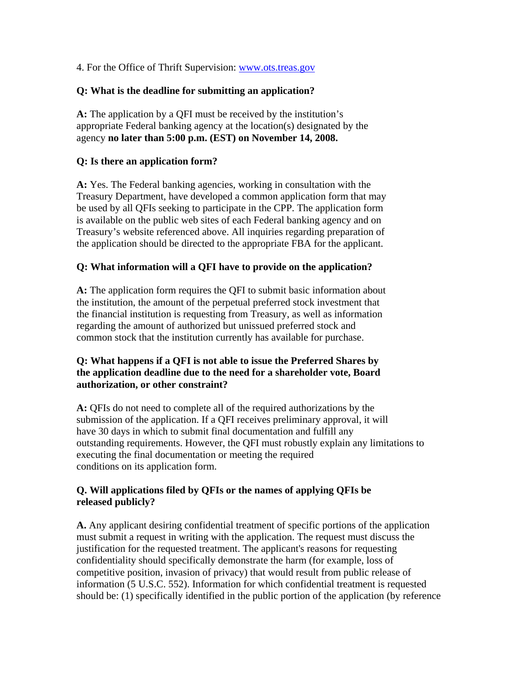4. For the Office of Thrift Supervision: www.ots.treas.gov

#### **Q: What is the deadline for submitting an application?**

**A:** The application by a QFI must be received by the institution's appropriate Federal banking agency at the location(s) designated by the agency **no later than 5:00 p.m. (EST) on November 14, 2008.**

#### **Q: Is there an application form?**

**A:** Yes. The Federal banking agencies, working in consultation with the Treasury Department, have developed a common application form that may be used by all QFIs seeking to participate in the CPP. The application form is available on the public web sites of each Federal banking agency and on Treasury's website referenced above. All inquiries regarding preparation of the application should be directed to the appropriate FBA for the applicant.

#### **Q: What information will a QFI have to provide on the application?**

**A:** The application form requires the QFI to submit basic information about the institution, the amount of the perpetual preferred stock investment that the financial institution is requesting from Treasury, as well as information regarding the amount of authorized but unissued preferred stock and common stock that the institution currently has available for purchase.

#### **Q: What happens if a QFI is not able to issue the Preferred Shares by the application deadline due to the need for a shareholder vote, Board authorization, or other constraint?**

**A:** QFIs do not need to complete all of the required authorizations by the submission of the application. If a QFI receives preliminary approval, it will have 30 days in which to submit final documentation and fulfill any outstanding requirements. However, the QFI must robustly explain any limitations to executing the final documentation or meeting the required conditions on its application form.

### **Q. Will applications filed by QFIs or the names of applying QFIs be released publicly?**

**A.** Any applicant desiring confidential treatment of specific portions of the application must submit a request in writing with the application. The request must discuss the justification for the requested treatment. The applicant's reasons for requesting confidentiality should specifically demonstrate the harm (for example, loss of competitive position, invasion of privacy) that would result from public release of information (5 U.S.C. 552). Information for which confidential treatment is requested should be: (1) specifically identified in the public portion of the application (by reference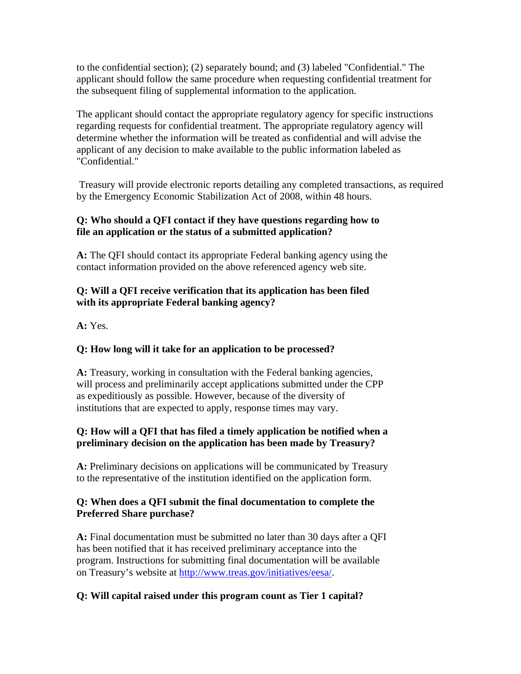to the confidential section); (2) separately bound; and (3) labeled "Confidential." The applicant should follow the same procedure when requesting confidential treatment for the subsequent filing of supplemental information to the application.

The applicant should contact the appropriate regulatory agency for specific instructions regarding requests for confidential treatment. The appropriate regulatory agency will determine whether the information will be treated as confidential and will advise the applicant of any decision to make available to the public information labeled as "Confidential."

 Treasury will provide electronic reports detailing any completed transactions, as required by the Emergency Economic Stabilization Act of 2008, within 48 hours.

### **Q: Who should a QFI contact if they have questions regarding how to file an application or the status of a submitted application?**

**A:** The QFI should contact its appropriate Federal banking agency using the contact information provided on the above referenced agency web site.

# **Q: Will a QFI receive verification that its application has been filed with its appropriate Federal banking agency?**

**A:** Yes.

# **Q: How long will it take for an application to be processed?**

**A:** Treasury, working in consultation with the Federal banking agencies, will process and preliminarily accept applications submitted under the CPP as expeditiously as possible. However, because of the diversity of institutions that are expected to apply, response times may vary.

## **Q: How will a QFI that has filed a timely application be notified when a preliminary decision on the application has been made by Treasury?**

**A:** Preliminary decisions on applications will be communicated by Treasury to the representative of the institution identified on the application form.

### **Q: When does a QFI submit the final documentation to complete the Preferred Share purchase?**

**A:** Final documentation must be submitted no later than 30 days after a QFI has been notified that it has received preliminary acceptance into the program. Instructions for submitting final documentation will be available on Treasury's website at http://www.treas.gov/initiatives/eesa/.

# **Q: Will capital raised under this program count as Tier 1 capital?**